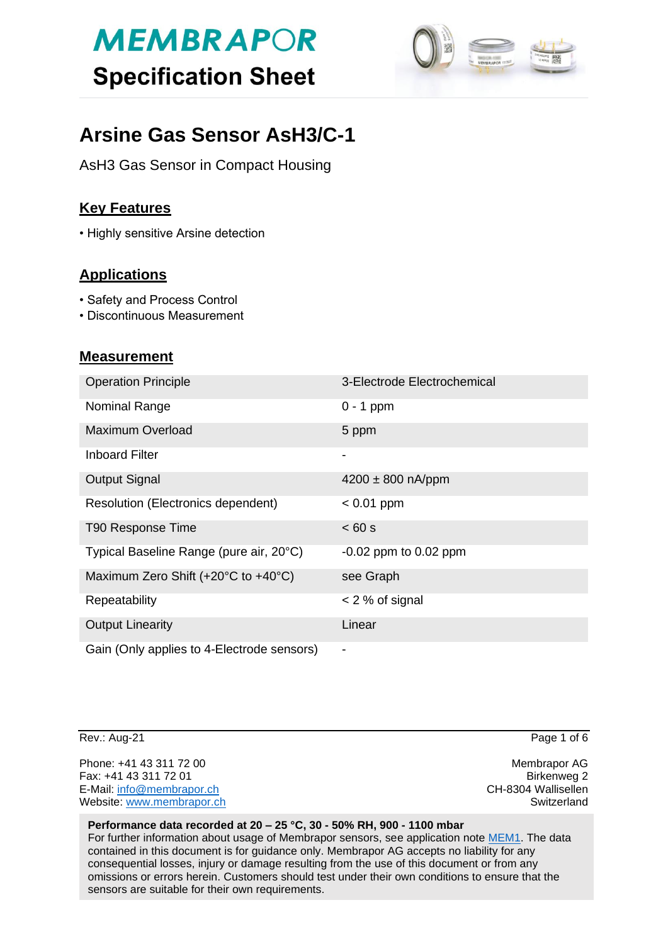# **MEMBRAPOR Specification Sheet**



# **Arsine Gas Sensor AsH3/C-1**

AsH3 Gas Sensor in Compact Housing

## **Key Features**

• Highly sensitive Arsine detection

## **Applications**

- Safety and Process Control
- Discontinuous Measurement

### **Measurement**

| <b>Operation Principle</b>                 | 3-Electrode Electrochemical |
|--------------------------------------------|-----------------------------|
| Nominal Range                              | $0 - 1$ ppm                 |
| <b>Maximum Overload</b>                    | 5 ppm                       |
| <b>Inboard Filter</b>                      | $\overline{\phantom{0}}$    |
| <b>Output Signal</b>                       | $4200 \pm 800$ nA/ppm       |
| Resolution (Electronics dependent)         | $< 0.01$ ppm                |
| T90 Response Time                          | < 60 s                      |
| Typical Baseline Range (pure air, 20°C)    | $-0.02$ ppm to $0.02$ ppm   |
| Maximum Zero Shift (+20°C to +40°C)        | see Graph                   |
| Repeatability                              | $<$ 2 % of signal           |
| <b>Output Linearity</b>                    | Linear                      |
| Gain (Only applies to 4-Electrode sensors) | $\blacksquare$              |

Rev.: Aug-21 Page 1 of 6

Phone: +41 43 311 72 00 **Membrapor AG** Fax: +41 43 311 72 01 Birkenweg 2 E-Mail: [info@membrapor.ch](mailto:info@membrapor.ch) CH-8304 Wallisellen Website: [www.membrapor.ch](http://www.membrapor.ch/) Switzerland Switzerland Switzerland

#### **Performance data recorded at 20 – 25 °C, 30 - 50% RH, 900 - 1100 mbar**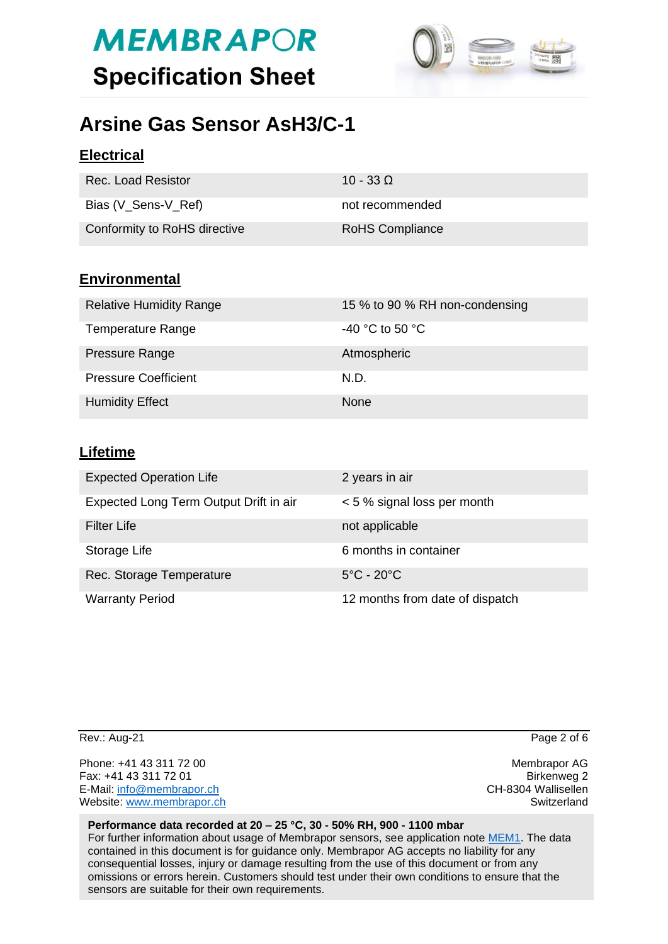# **MEMBRAPOR Specification Sheet**



# **Arsine Gas Sensor AsH3/C-1**

## **Electrical**

| Rec. Load Resistor           | 10 - 33 Q              |
|------------------------------|------------------------|
| Bias (V_Sens-V_Ref)          | not recommended        |
| Conformity to RoHS directive | <b>RoHS Compliance</b> |

### **Environmental**

| <b>Relative Humidity Range</b> | 15 % to 90 % RH non-condensing |
|--------------------------------|--------------------------------|
| <b>Temperature Range</b>       | -40 °C to 50 °C                |
| Pressure Range                 | Atmospheric                    |
| <b>Pressure Coefficient</b>    | N.D.                           |
| <b>Humidity Effect</b>         | <b>None</b>                    |

### **Lifetime**

| <b>Expected Operation Life</b>         | 2 years in air                  |
|----------------------------------------|---------------------------------|
| Expected Long Term Output Drift in air | < 5 % signal loss per month     |
| <b>Filter Life</b>                     | not applicable                  |
| Storage Life                           | 6 months in container           |
| Rec. Storage Temperature               | $5^{\circ}$ C - 20 $^{\circ}$ C |
| <b>Warranty Period</b>                 | 12 months from date of dispatch |

Phone: +41 43 311 72 00 **Membrapor AG** Fax: +41 43 311 72 01 Birkenweg 2 E-Mail: [info@membrapor.ch](mailto:info@membrapor.ch) CH-8304 Wallisellen Website: [www.membrapor.ch](http://www.membrapor.ch/) Switzerland Switzerland Switzerland

Rev.: Aug-21 Page 2 of 6

#### **Performance data recorded at 20 – 25 °C, 30 - 50% RH, 900 - 1100 mbar**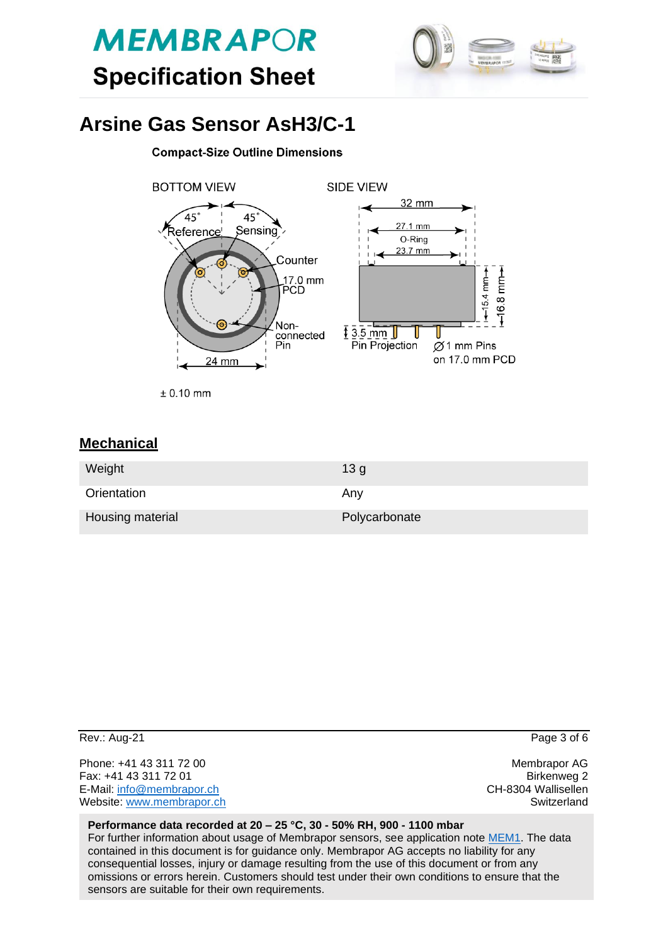



# **Arsine Gas Sensor AsH3/C-1**

#### **Compact-Size Outline Dimensions**



 $± 0.10$  mm

### **Mechanical**

| Weight           | 13 <sub>q</sub> |
|------------------|-----------------|
| Orientation      | Any             |
| Housing material | Polycarbonate   |

| Rev.: Aug-21              | Page 3 of 6         |
|---------------------------|---------------------|
| Phone: +41 43 311 72 00   | Membrapor AG        |
| Fax: +41 43 311 72 01     | Birkenweg 2         |
| E-Mail: info@membrapor.ch | CH-8304 Wallisellen |
| Website: www.membrapor.ch | Switzerland         |

#### **Performance data recorded at 20 – 25 °C, 30 - 50% RH, 900 - 1100 mbar**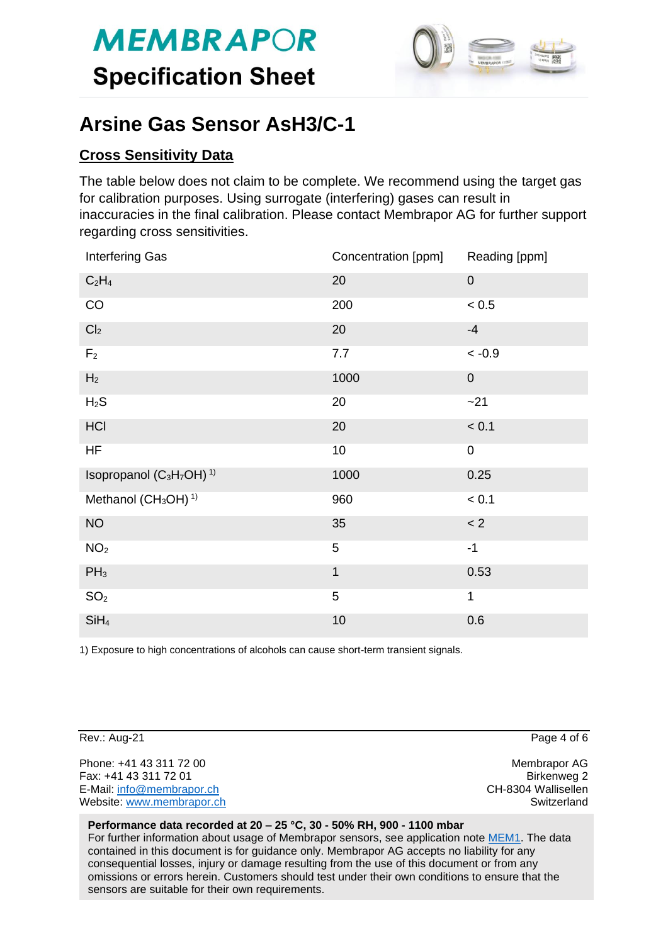

# **Arsine Gas Sensor AsH3/C-1**

### **Cross Sensitivity Data**

The table below does not claim to be complete. We recommend using the target gas for calibration purposes. Using surrogate (interfering) gases can result in inaccuracies in the final calibration. Please contact Membrapor AG for further support regarding cross sensitivities.

| Interfering Gas                                              | Concentration [ppm] | Reading [ppm]    |
|--------------------------------------------------------------|---------------------|------------------|
| $C_2H_4$                                                     | 20                  | $\boldsymbol{0}$ |
| CO                                                           | 200                 | < 0.5            |
| Cl <sub>2</sub>                                              | 20                  | $-4$             |
| F <sub>2</sub>                                               | 7.7                 | $~<$ -0.9        |
| H <sub>2</sub>                                               | 1000                | $\mathbf 0$      |
| $H_2S$                                                       | 20                  | $-21$            |
| <b>HCI</b>                                                   | 20                  | < 0.1            |
| HF                                                           | 10                  | $\mathbf 0$      |
| Isopropanol (C <sub>3</sub> H <sub>7</sub> OH) <sup>1)</sup> | 1000                | 0.25             |
| Methanol (CH <sub>3</sub> OH) <sup>1)</sup>                  | 960                 | < 0.1            |
| <b>NO</b>                                                    | 35                  | < 2              |
| NO <sub>2</sub>                                              | 5                   | $-1$             |
| $PH_3$                                                       | $\mathbf{1}$        | 0.53             |
| SO <sub>2</sub>                                              | 5                   | 1                |
| SiH <sub>4</sub>                                             | 10                  | 0.6              |

1) Exposure to high concentrations of alcohols can cause short-term transient signals.

Rev.: Aug-21 Page 4 of 6

Phone: +41 43 311 72 00 **Membrapor AG** Fax: +41 43 311 72 01 Birkenweg 2 E-Mail: [info@membrapor.ch](mailto:info@membrapor.ch) CH-8304 Wallisellen Website: [www.membrapor.ch](http://www.membrapor.ch/) Switzerland Switzerland Switzerland

#### **Performance data recorded at 20 – 25 °C, 30 - 50% RH, 900 - 1100 mbar**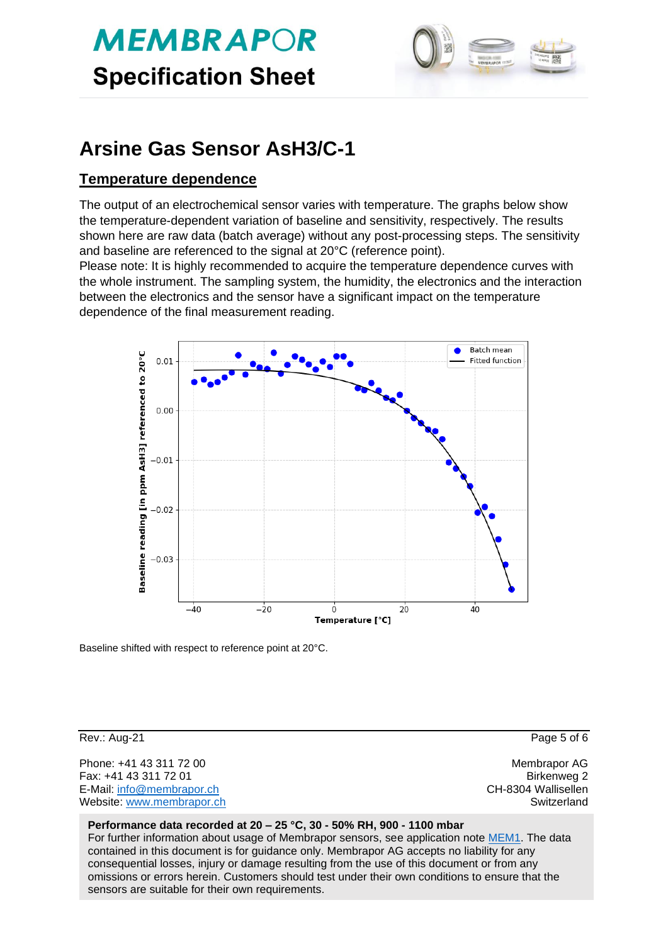# **MEMBRAPOR Specification Sheet**



# **Arsine Gas Sensor AsH3/C-1**

### **Temperature dependence**

The output of an electrochemical sensor varies with temperature. The graphs below show the temperature-dependent variation of baseline and sensitivity, respectively. The results shown here are raw data (batch average) without any post-processing steps. The sensitivity and baseline are referenced to the signal at 20°C (reference point).

Please note: It is highly recommended to acquire the temperature dependence curves with the whole instrument. The sampling system, the humidity, the electronics and the interaction between the electronics and the sensor have a significant impact on the temperature dependence of the final measurement reading.



Baseline shifted with respect to reference point at 20°C.

Rev.: Aug-21 Page 5 of 6

Phone: +41 43 311 72 00 **Membrapor AG** Fax: +41 43 311 72 01 Birkenweg 2 E-Mail: [info@membrapor.ch](mailto:info@membrapor.ch) CH-8304 Wallisellen Website: [www.membrapor.ch](http://www.membrapor.ch/) Switzerland Switzerland Switzerland

#### **Performance data recorded at 20 – 25 °C, 30 - 50% RH, 900 - 1100 mbar**